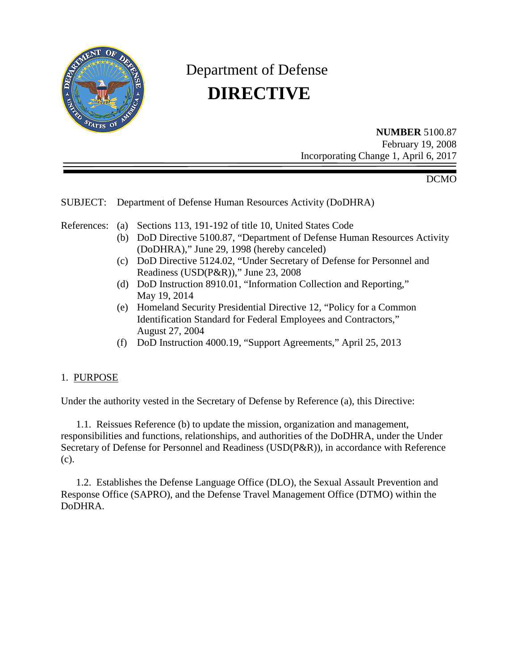

# Department of Defense  **DIRECTIVE**

**NUMBER** 5100.87 February 19, 2008 Incorporating Change 1, April 6, 2017

DCMO

## SUBJECT: Department of Defense Human Resources Activity (DoDHRA)

References: (a) Sections 113, 191-192 of title 10, United States Code

- (b) DoD Directive 5100.87, "Department of Defense Human Resources Activity (DoDHRA)," June 29, 1998 (hereby canceled)
- (c) DoD Directive 5124.02, "Under Secretary of Defense for Personnel and Readiness (USD(P&R))," June 23, 2008
- (d) DoD Instruction 8910.01, "Information Collection and Reporting," May 19, 2014
- (e) Homeland Security Presidential Directive 12, "Policy for a Common Identification Standard for Federal Employees and Contractors," August 27, 2004
- (f) DoD Instruction 4000.19, "Support Agreements," April 25, 2013

## 1. PURPOSE

Under the authority vested in the Secretary of Defense by Reference (a), this Directive:

 1.1. Reissues Reference (b) to update the mission, organization and management, responsibilities and functions, relationships, and authorities of the DoDHRA, under the Under Secretary of Defense for Personnel and Readiness (USD(P&R)), in accordance with Reference (c).

 1.2. Establishes the Defense Language Office (DLO), the Sexual Assault Prevention and Response Office (SAPRO), and the Defense Travel Management Office (DTMO) within the DoDHRA.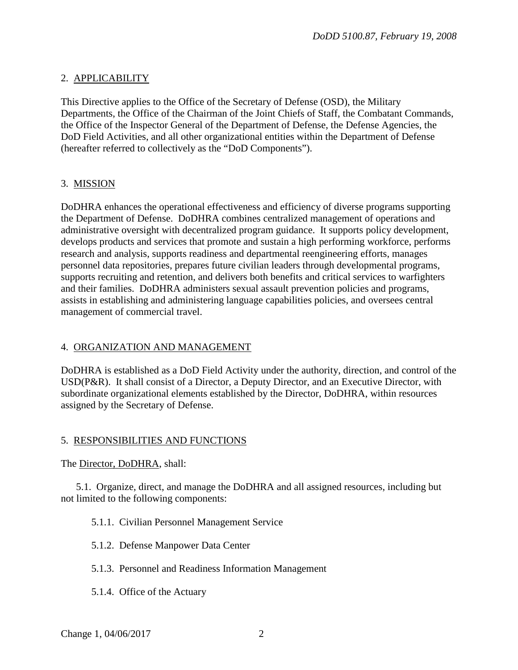## 2. APPLICABILITY

This Directive applies to the Office of the Secretary of Defense (OSD), the Military Departments, the Office of the Chairman of the Joint Chiefs of Staff, the Combatant Commands, the Office of the Inspector General of the Department of Defense, the Defense Agencies, the DoD Field Activities, and all other organizational entities within the Department of Defense (hereafter referred to collectively as the "DoD Components").

## 3. MISSION

DoDHRA enhances the operational effectiveness and efficiency of diverse programs supporting the Department of Defense. DoDHRA combines centralized management of operations and administrative oversight with decentralized program guidance. It supports policy development, develops products and services that promote and sustain a high performing workforce, performs research and analysis, supports readiness and departmental reengineering efforts, manages personnel data repositories, prepares future civilian leaders through developmental programs, supports recruiting and retention, and delivers both benefits and critical services to warfighters and their families. DoDHRA administers sexual assault prevention policies and programs, assists in establishing and administering language capabilities policies, and oversees central management of commercial travel.

## 4. ORGANIZATION AND MANAGEMENT

DoDHRA is established as a DoD Field Activity under the authority, direction, and control of the USD(P&R). It shall consist of a Director, a Deputy Director, and an Executive Director, with subordinate organizational elements established by the Director, DoDHRA, within resources assigned by the Secretary of Defense.

## 5. RESPONSIBILITIES AND FUNCTIONS

The Director, DoDHRA, shall:

 5.1. Organize, direct, and manage the DoDHRA and all assigned resources, including but not limited to the following components:

## 5.1.1. Civilian Personnel Management Service

- 5.1.2. Defense Manpower Data Center
- 5.1.3. Personnel and Readiness Information Management
- 5.1.4. Office of the Actuary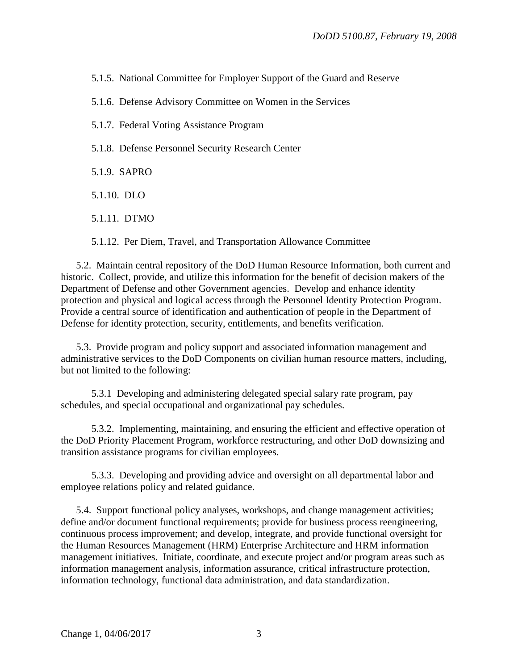5.1.5. National Committee for Employer Support of the Guard and Reserve

5.1.6. Defense Advisory Committee on Women in the Services

5.1.7. Federal Voting Assistance Program

5.1.8. Defense Personnel Security Research Center

5.1.9. SAPRO

5.1.10. DLO

5.1.11. DTMO

5.1.12. Per Diem, Travel, and Transportation Allowance Committee

 5.2. Maintain central repository of the DoD Human Resource Information, both current and historic. Collect, provide, and utilize this information for the benefit of decision makers of the Department of Defense and other Government agencies. Develop and enhance identity protection and physical and logical access through the Personnel Identity Protection Program. Provide a central source of identification and authentication of people in the Department of Defense for identity protection, security, entitlements, and benefits verification.

 5.3. Provide program and policy support and associated information management and administrative services to the DoD Components on civilian human resource matters, including, but not limited to the following:

 5.3.1 Developing and administering delegated special salary rate program, pay schedules, and special occupational and organizational pay schedules.

 5.3.2. Implementing, maintaining, and ensuring the efficient and effective operation of the DoD Priority Placement Program, workforce restructuring, and other DoD downsizing and transition assistance programs for civilian employees.

 5.3.3. Developing and providing advice and oversight on all departmental labor and employee relations policy and related guidance.

 5.4. Support functional policy analyses, workshops, and change management activities; define and/or document functional requirements; provide for business process reengineering, continuous process improvement; and develop, integrate, and provide functional oversight for the Human Resources Management (HRM) Enterprise Architecture and HRM information management initiatives. Initiate, coordinate, and execute project and/or program areas such as information management analysis, information assurance, critical infrastructure protection, information technology, functional data administration, and data standardization.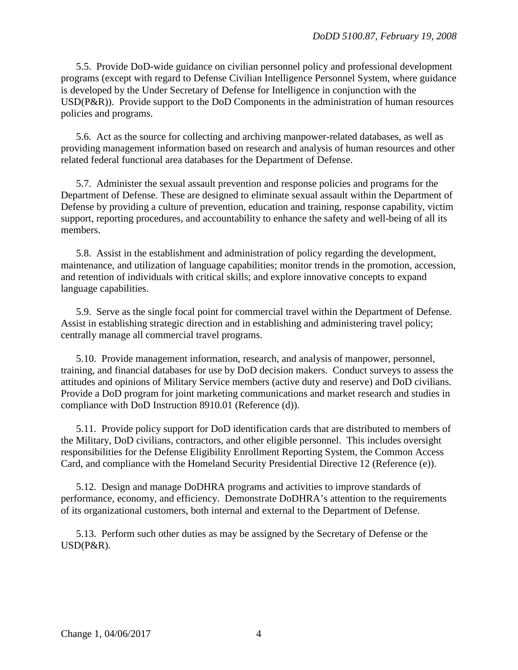5.5. Provide DoD-wide guidance on civilian personnel policy and professional development programs (except with regard to Defense Civilian Intelligence Personnel System, where guidance is developed by the Under Secretary of Defense for Intelligence in conjunction with the USD(P&R)). Provide support to the DoD Components in the administration of human resources policies and programs.

 5.6. Act as the source for collecting and archiving manpower-related databases, as well as providing management information based on research and analysis of human resources and other related federal functional area databases for the Department of Defense.

 5.7. Administer the sexual assault prevention and response policies and programs for the Department of Defense. These are designed to eliminate sexual assault within the Department of Defense by providing a culture of prevention, education and training, response capability, victim support, reporting procedures, and accountability to enhance the safety and well-being of all its members.

 5.8. Assist in the establishment and administration of policy regarding the development, maintenance, and utilization of language capabilities; monitor trends in the promotion, accession, and retention of individuals with critical skills; and explore innovative concepts to expand language capabilities.

 5.9. Serve as the single focal point for commercial travel within the Department of Defense. Assist in establishing strategic direction and in establishing and administering travel policy; centrally manage all commercial travel programs.

 5.10. Provide management information, research, and analysis of manpower, personnel, training, and financial databases for use by DoD decision makers. Conduct surveys to assess the attitudes and opinions of Military Service members (active duty and reserve) and DoD civilians. Provide a DoD program for joint marketing communications and market research and studies in compliance with DoD Instruction 8910.01 (Reference (d)).

 5.11. Provide policy support for DoD identification cards that are distributed to members of the Military, DoD civilians, contractors, and other eligible personnel. This includes oversight responsibilities for the Defense Eligibility Enrollment Reporting System, the Common Access Card, and compliance with the Homeland Security Presidential Directive 12 (Reference (e)).

 5.12. Design and manage DoDHRA programs and activities to improve standards of performance, economy, and efficiency. Demonstrate DoDHRA's attention to the requirements of its organizational customers, both internal and external to the Department of Defense.

 5.13. Perform such other duties as may be assigned by the Secretary of Defense or the USD(P&R).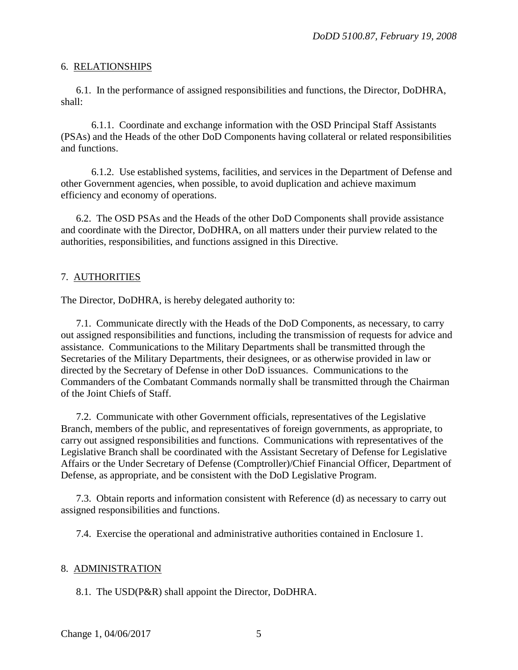#### 6. RELATIONSHIPS

 6.1. In the performance of assigned responsibilities and functions, the Director, DoDHRA, shall:

 6.1.1. Coordinate and exchange information with the OSD Principal Staff Assistants (PSAs) and the Heads of the other DoD Components having collateral or related responsibilities and functions.

 6.1.2. Use established systems, facilities, and services in the Department of Defense and other Government agencies, when possible, to avoid duplication and achieve maximum efficiency and economy of operations.

 6.2. The OSD PSAs and the Heads of the other DoD Components shall provide assistance and coordinate with the Director, DoDHRA, on all matters under their purview related to the authorities, responsibilities, and functions assigned in this Directive.

#### 7. AUTHORITIES

The Director, DoDHRA, is hereby delegated authority to:

 7.1. Communicate directly with the Heads of the DoD Components, as necessary, to carry out assigned responsibilities and functions, including the transmission of requests for advice and assistance. Communications to the Military Departments shall be transmitted through the Secretaries of the Military Departments, their designees, or as otherwise provided in law or directed by the Secretary of Defense in other DoD issuances. Communications to the Commanders of the Combatant Commands normally shall be transmitted through the Chairman of the Joint Chiefs of Staff.

 7.2. Communicate with other Government officials, representatives of the Legislative Branch, members of the public, and representatives of foreign governments, as appropriate, to carry out assigned responsibilities and functions. Communications with representatives of the Legislative Branch shall be coordinated with the Assistant Secretary of Defense for Legislative Affairs or the Under Secretary of Defense (Comptroller)/Chief Financial Officer, Department of Defense, as appropriate, and be consistent with the DoD Legislative Program.

 7.3. Obtain reports and information consistent with Reference (d) as necessary to carry out assigned responsibilities and functions.

7.4. Exercise the operational and administrative authorities contained in Enclosure 1.

#### 8. ADMINISTRATION

8.1. The USD(P&R) shall appoint the Director, DoDHRA.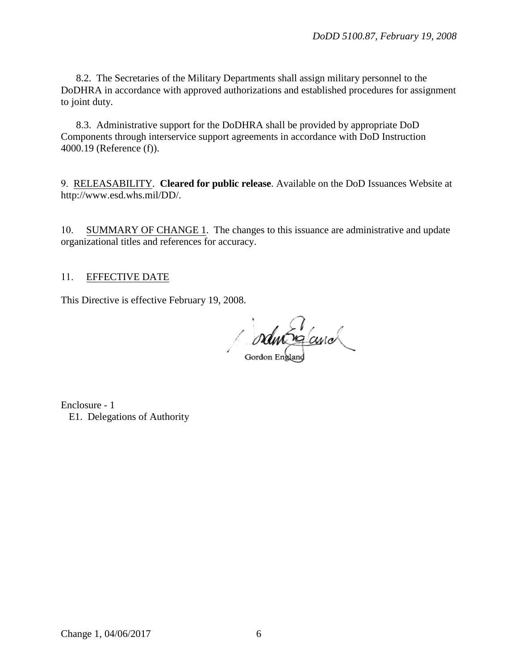8.2. The Secretaries of the Military Departments shall assign military personnel to the DoDHRA in accordance with approved authorizations and established procedures for assignment to joint duty.

8.3. Administrative support for the DoDHRA shall be provided by appropriate DoD Components through interservice support agreements in accordance with DoD Instruction 4000.19 (Reference (f)).

9. RELEASABILITY. **Cleared for public release**. Available on the DoD Issuances Website at http://www.esd.whs.mil/DD/.

10. SUMMARY OF CHANGE 1. The changes to this issuance are administrative and update organizational titles and references for accuracy.

#### 11. EFFECTIVE DATE

This Directive is effective February 19, 2008.

oductor cure

Enclosure - 1 E1. Delegations of Authority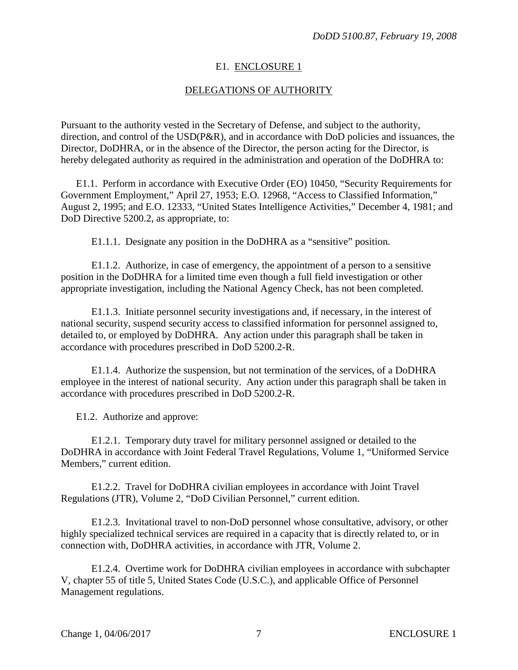#### E1. ENCLOSURE 1

#### DELEGATIONS OF AUTHORITY

Pursuant to the authority vested in the Secretary of Defense, and subject to the authority, direction, and control of the USD(P&R), and in accordance with DoD policies and issuances, the Director, DoDHRA, or in the absence of the Director, the person acting for the Director, is hereby delegated authority as required in the administration and operation of the DoDHRA to:

E1.1. Perform in accordance with Executive Order (EO) 10450, "Security Requirements for Government Employment," April 27, 1953; E.O. 12968, "Access to Classified Information," August 2, 1995; and E.O. 12333, "United States Intelligence Activities," December 4, 1981; and DoD Directive 5200.2, as appropriate, to:

E1.1.1. Designate any position in the DoDHRA as a "sensitive" position.

E1.1.2. Authorize, in case of emergency, the appointment of a person to a sensitive position in the DoDHRA for a limited time even though a full field investigation or other appropriate investigation, including the National Agency Check, has not been completed.

E1.1.3. Initiate personnel security investigations and, if necessary, in the interest of national security, suspend security access to classified information for personnel assigned to, detailed to, or employed by DoDHRA. Any action under this paragraph shall be taken in accordance with procedures prescribed in DoD 5200.2-R.

E1.1.4. Authorize the suspension, but not termination of the services, of a DoDHRA employee in the interest of national security. Any action under this paragraph shall be taken in accordance with procedures prescribed in DoD 5200.2-R.

E1.2. Authorize and approve:

E1.2.1. Temporary duty travel for military personnel assigned or detailed to the DoDHRA in accordance with Joint Federal Travel Regulations, Volume 1, "Uniformed Service Members," current edition.

E1.2.2. Travel for DoDHRA civilian employees in accordance with Joint Travel Regulations (JTR), Volume 2, "DoD Civilian Personnel," current edition.

E1.2.3. Invitational travel to non-DoD personnel whose consultative, advisory, or other highly specialized technical services are required in a capacity that is directly related to, or in connection with, DoDHRA activities, in accordance with JTR, Volume 2.

E1.2.4. Overtime work for DoDHRA civilian employees in accordance with subchapter V, chapter 55 of title 5, United States Code (U.S.C.), and applicable Office of Personnel Management regulations.